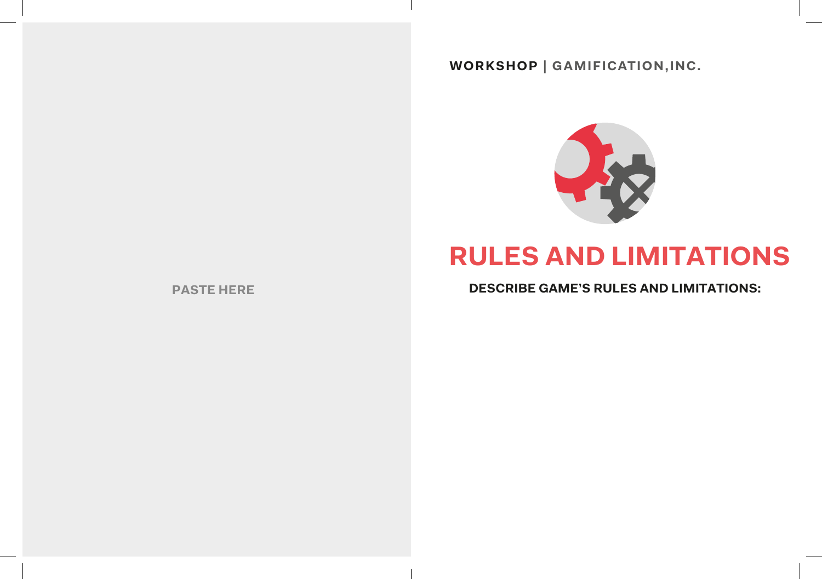## **WORKSHOP | GAMIFICATION,INC.**



# **RULES AND LIMITATIONS**

**PASTE HERE DESCRIBE GAME'S RULES AND LIMITATIONS:**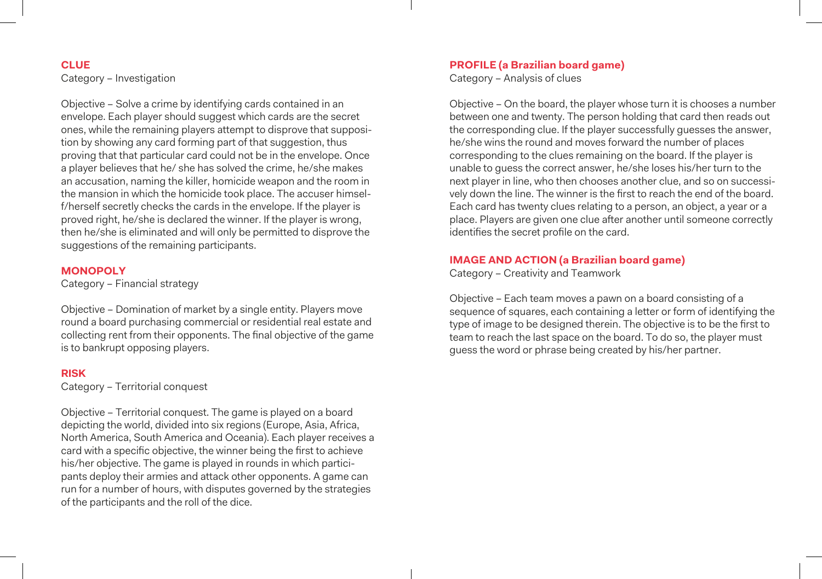#### **CLUE** Category – Investigation

Objective – Solve a crime by identifying cards contained in an envelope. Each player should suggest which cards are the secret ones, while the remaining players attempt to disprove that supposition by showing any card forming part of that suggestion, thus proving that that particular card could not be in the envelope. Once a player believes that he/ she has solved the crime, he/she makes an accusation, naming the killer, homicide weapon and the room in the mansion in which the homicide took place. The accuser himself/herself secretly checks the cards in the envelope. If the player is proved right, he/she is declared the winner. If the player is wrong, then he/she is eliminated and will only be permitted to disprove the suggestions of the remaining participants.

#### **MONOPOLY**

Category – Financial strategy

Objective – Domination of market by a single entity. Players move round a board purchasing commercial or residential real estate and collecting rent from their opponents. The final objective of the game is to bankrupt opposing players.

#### **RISK**

Category – Territorial conquest

Objective – Territorial conquest. The game is played on a board depicting the world, divided into six regions (Europe, Asia, Africa, North America, South America and Oceania). Each player receives a card with a specific objective, the winner being the first to achieve his/her objective. The game is played in rounds in which participants deploy their armies and attack other opponents. A game can run for a number of hours, with disputes governed by the strategies of the participants and the roll of the dice.

#### **PROFILE (a Brazilian board game)**

Category – Analysis of clues

Objective – On the board, the player whose turn it is chooses a number between one and twenty. The person holding that card then reads out the corresponding clue. If the player successfully guesses the answer, he/she wins the round and moves forward the number of places corresponding to the clues remaining on the board. If the player is unable to guess the correct answer, he/she loses his/her turn to the next player in line, who then chooses another clue, and so on successively down the line. The winner is the first to reach the end of the board. Each card has twenty clues relating to a person, an object, a year or a place. Players are given one clue after another until someone correctly identifies the secret profile on the card.

#### **IMAGE AND ACTION (a Brazilian board game)**

Category – Creativity and Teamwork

Objective – Each team moves a pawn on a board consisting of a sequence of squares, each containing a letter or form of identifying the type of image to be designed therein. The objective is to be the first to team to reach the last space on the board. To do so, the player must guess the word or phrase being created by his/her partner.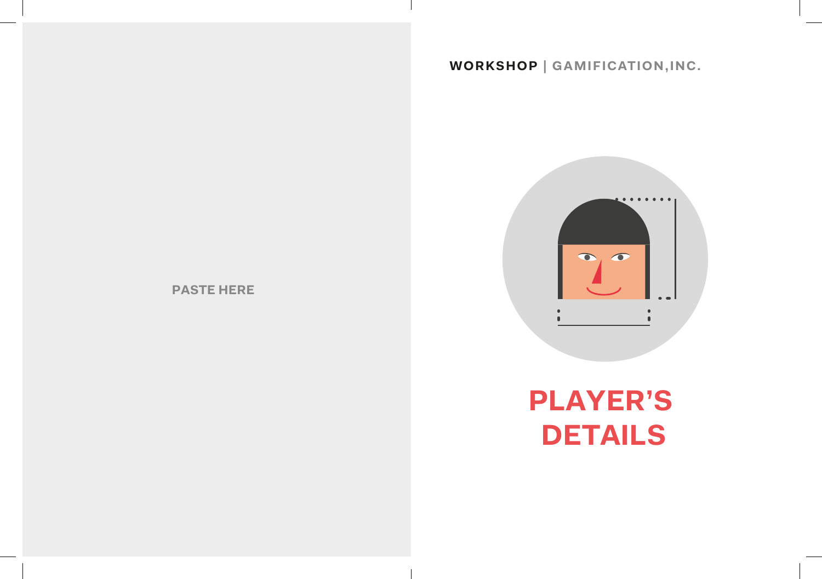#### **WORKSHOP | GAMIFICATION,INC.**



# **PLAYER'S DETAILS**

**PASTE HERE**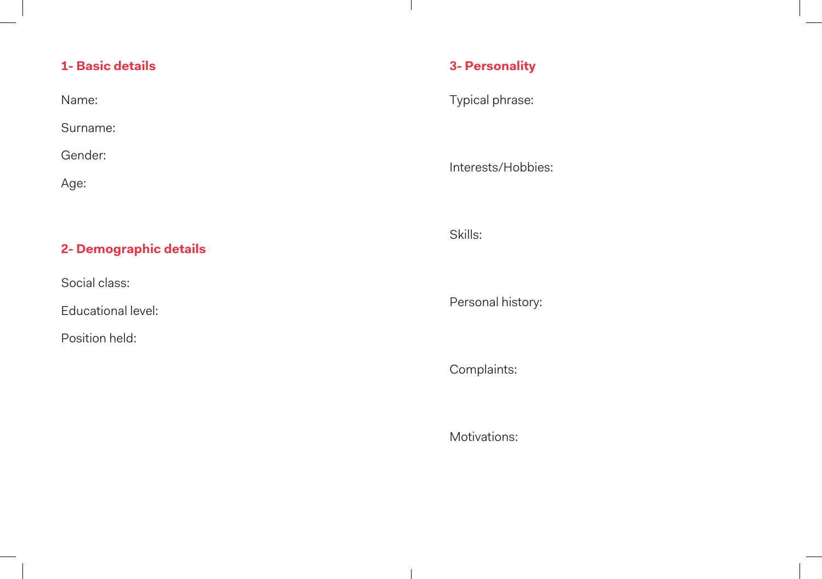## **1- Basic details**

| Name:    |  |  |
|----------|--|--|
| Surname: |  |  |
| Gender:  |  |  |
| Age:     |  |  |

## **2- Demographic details**

Social class:

Educational level:

Position held:

## **3- Personality**

 $\mathbf{I}$ 

Typical phrase:

Interests/Hobbies:

Skills:

Personal history:

Complaints:

Motivations: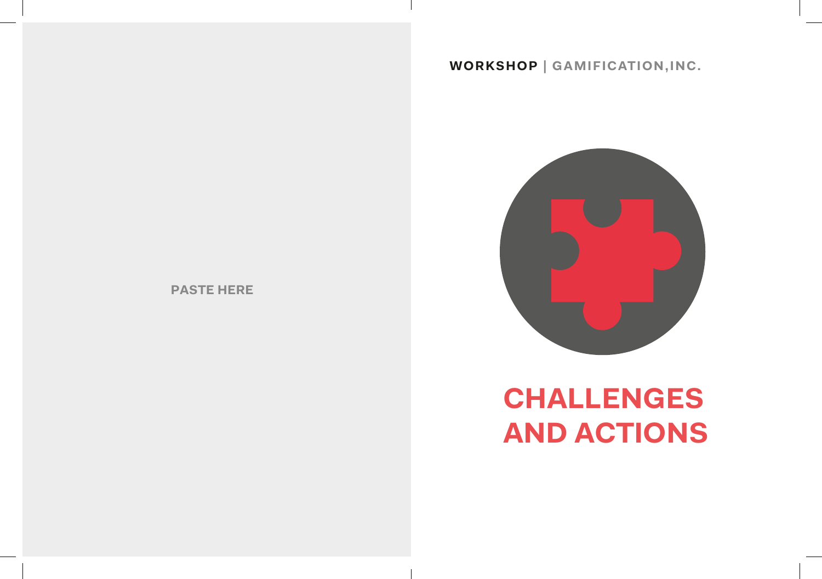#### **WORKSHOP | GAMIFICATION,INC.**



# **CHALLENGES AND ACTIONS**

**PASTE HERE**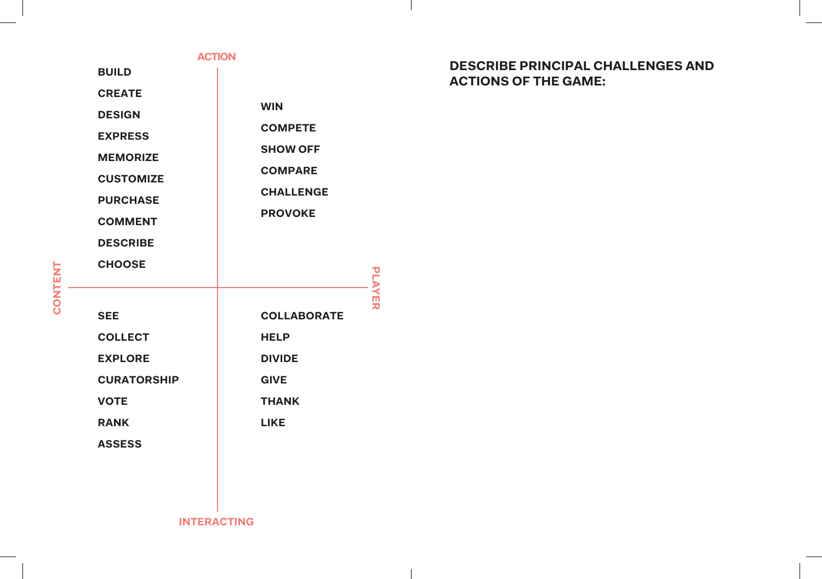#### **ACTION**

**BUILD**

**CREATE**

**DESIGN WIN COMPETE**

**EXPRESS MEMORIZE SHOW OFF**

**CUSTOMIZE COMPARE**

**PURCHASE CHALLENGE**

**COMMENT PROVOKE**

**DESCRIBE**

| <b>CHOOSE</b>      |                                    |
|--------------------|------------------------------------|
| <b>SEE</b>         | <b>LAYER</b><br><b>COLLABORATE</b> |
|                    |                                    |
| <b>COLLECT</b>     | <b>HELP</b>                        |
| <b>EXPLORE</b>     | <b>DIVIDE</b>                      |
| <b>CURATORSHIP</b> | <b>GIVE</b>                        |
| <b>VOTE</b>        | <b>THANK</b>                       |
| <b>RANK</b>        | <b>LIKE</b>                        |
| <b>ASSESS</b>      |                                    |
|                    |                                    |

#### **DESCRIBE PRINCIPAL CHALLENGES AND ACTIONS OF THE GAME:**

 $\perp$ 

**INTERACTING**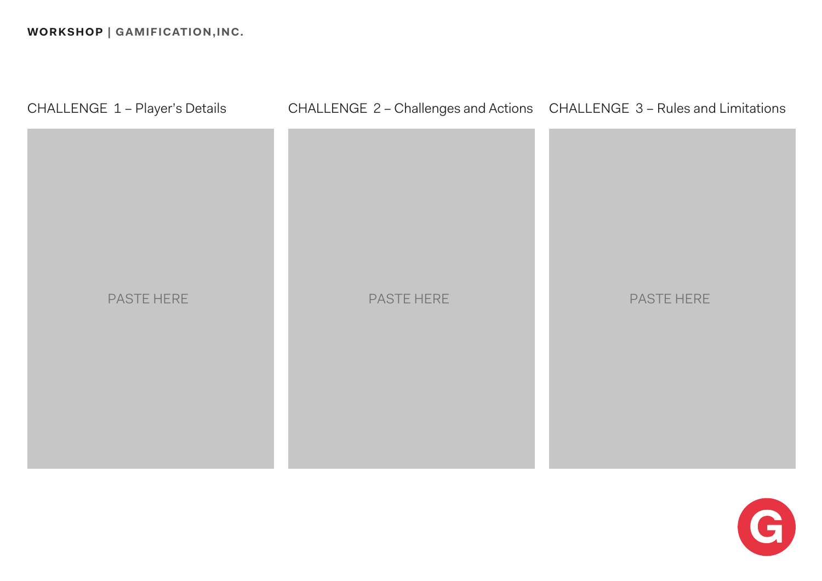

# CHALLENGE 1 – Player's Details CHALLENGE 2 – Challenges and Actions CHALLENGE 3 – Rules and Limitations

# PASTE HERE THE RESERVE THE PASTE HERE



# **WORKSHOP | GAMIFICATION,INC.**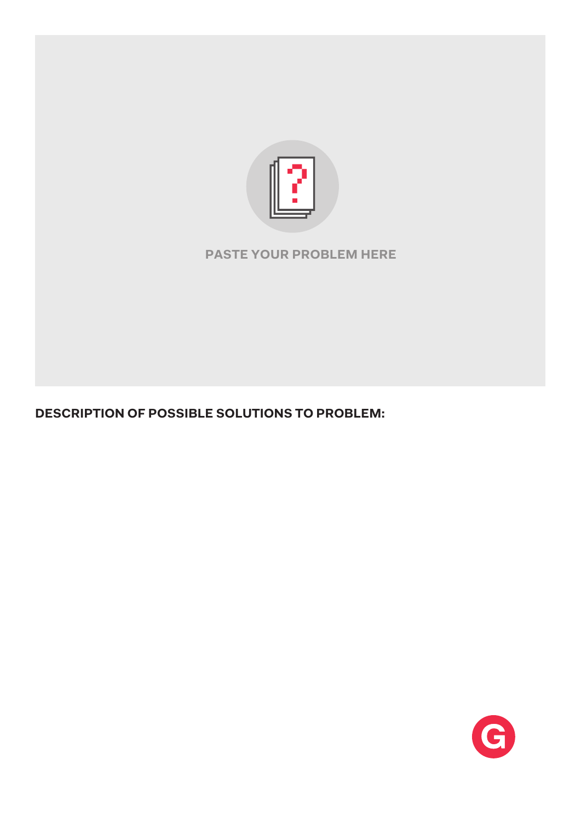

## **PASTE YOUR PROBLEM HERE**

## **DESCRIPTION OF POSSIBLE SOLUTIONS TO PROBLEM:**

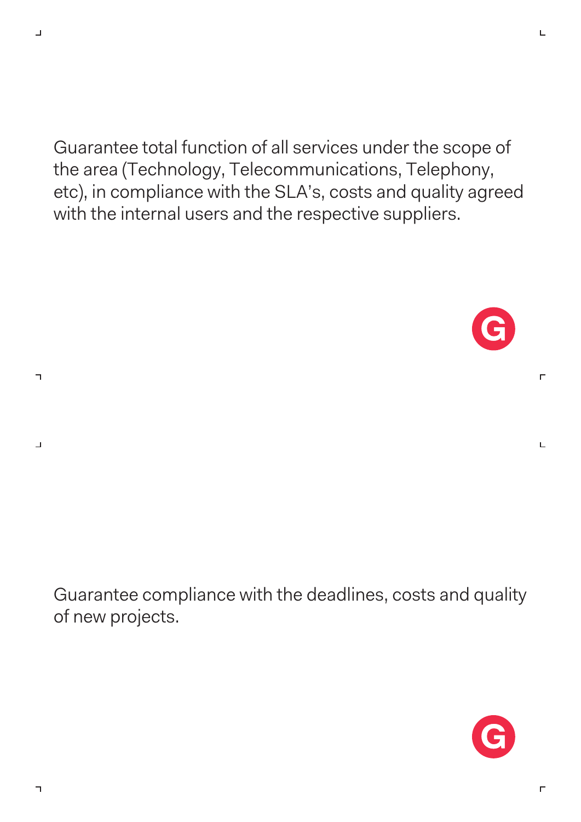$\Box$ 

 $\overline{\mathbf{u}}$ 

 $\perp$ 

Guarantee total function of all services under the scope of the area (Technology, Telecommunications, Telephony, etc), in compliance with the SLA's, costs and quality agreed with the internal users and the respective suppliers.



 $\Gamma$ 

L

Guarantee compliance with the deadlines, costs and quality of new projects.



 $\Gamma$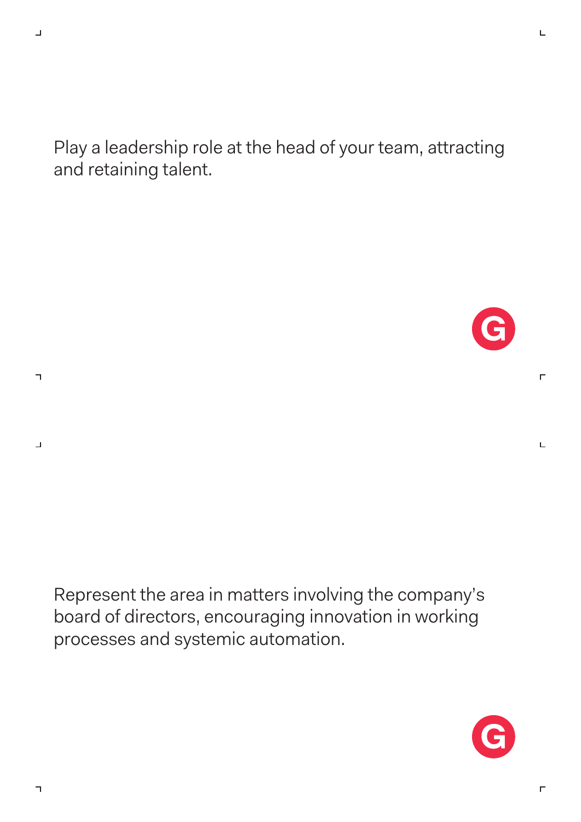$\overline{\mathbf{u}}$ 

 $\perp$ 

Play a leadership role at the head of your team, attracting and retaining talent.

 $\Gamma$ 

L

Represent the area in matters involving the company's board of directors, encouraging innovation in working processes and systemic automation.



 $\Gamma$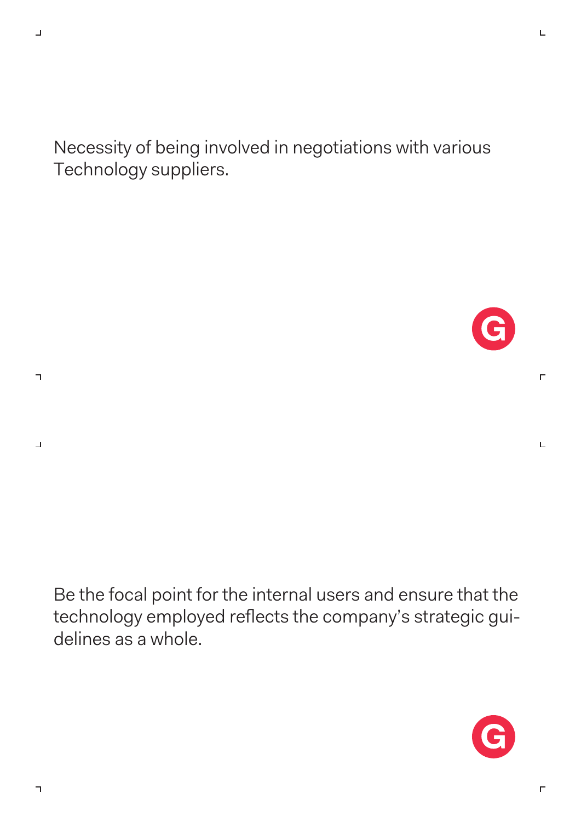$\Box$ 

 $\overline{\mathbf{u}}$ 

 $\perp$ 

Necessity of being involved in negotiations with various Technology suppliers.



 $\Gamma$ 

L

Be the focal point for the internal users and ensure that the technology employed reflects the company's strategic guidelines as a whole.



 $\Gamma$ 

L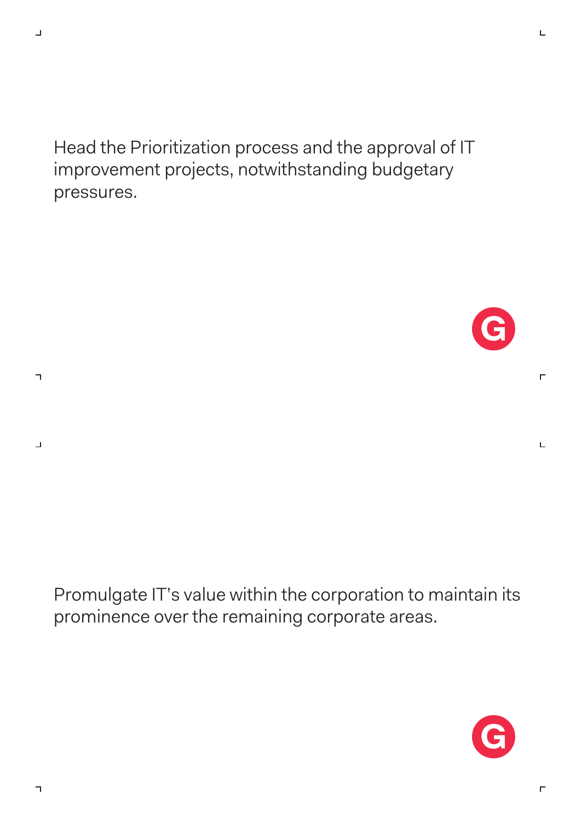Head the Prioritization process and the approval of IT improvement projects, notwithstanding budgetary pressures.





 $\Gamma$ 

Ц

 $\Gamma$ 

L

 $\Box$ 

 $\overline{\mathbf{u}}$ 

 $\perp$